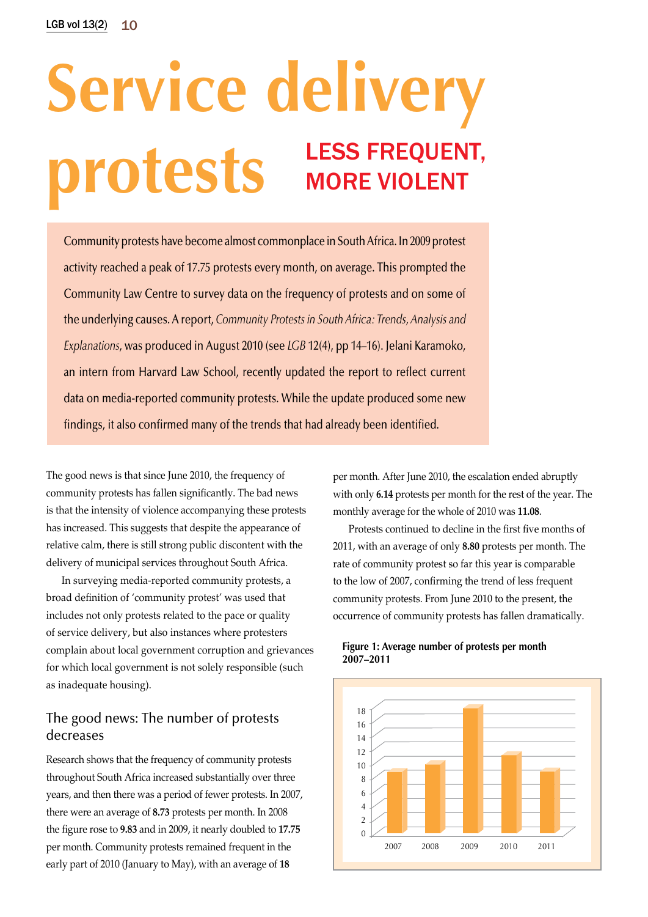# **Service delivery protests** LESS FREQUENT, more violent

Community protests have become almost commonplace in South Africa. In 2009 protest activity reached a peak of 17.75 protests every month, on average. This prompted the Community Law Centre to survey data on the frequency of protests and on some of the underlying causes. A report, *Community Protests in South Africa: Trends, Analysis and Explanations*, was produced in August 2010 (see *LGB* 12(4), pp 14–16). Jelani Karamoko, an intern from Harvard Law School, recently updated the report to reflect current data on media-reported community protests. While the update produced some new findings, it also confirmed many of the trends that had already been identified.

The good news is that since June 2010, the frequency of community protests has fallen significantly. The bad news is that the intensity of violence accompanying these protests has increased. This suggests that despite the appearance of relative calm, there is still strong public discontent with the delivery of municipal services throughout South Africa.

In surveying media-reported community protests, a broad definition of 'community protest' was used that includes not only protests related to the pace or quality of service delivery, but also instances where protesters complain about local government corruption and grievances for which local government is not solely responsible (such as inadequate housing).

## The good news: The number of protests decreases

Research shows that the frequency of community protests throughout South Africa increased substantially over three years, and then there was a period of fewer protests. In 2007, there were an average of **8.73** protests per month. In 2008 the figure rose to **9.83** and in 2009, it nearly doubled to **17.75** per month. Community protests remained frequent in the early part of 2010 (January to May), with an average of **18**

per month. After June 2010, the escalation ended abruptly with only **6.14** protests per month for the rest of the year. The monthly average for the whole of 2010 was **11.08**.

Protests continued to decline in the first five months of 2011, with an average of only **8.80** protests per month. The rate of community protest so far this year is comparable to the low of 2007, confirming the trend of less frequent community protests. From June 2010 to the present, the occurrence of community protests has fallen dramatically.



#### **Figure 1: Average number of protests per month 2007–2011**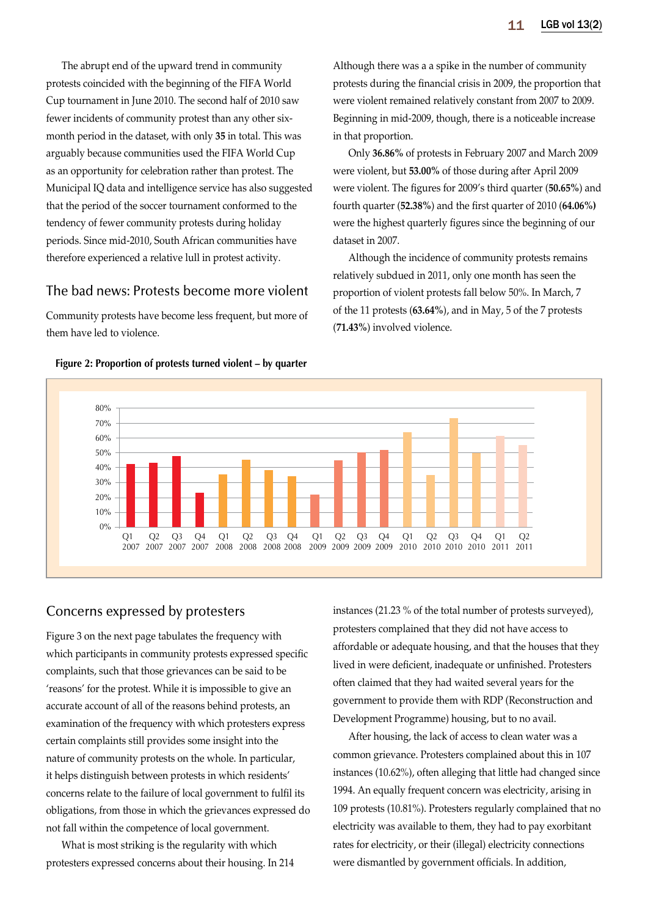The abrupt end of the upward trend in community protests coincided with the beginning of the FIFA World Cup tournament in June 2010. The second half of 2010 saw fewer incidents of community protest than any other sixmonth period in the dataset, with only **35** in total. This was arguably because communities used the FIFA World Cup as an opportunity for celebration rather than protest. The Municipal IQ data and intelligence service has also suggested that the period of the soccer tournament conformed to the tendency of fewer community protests during holiday periods. Since mid-2010, South African communities have therefore experienced a relative lull in protest activity.

## The bad news: Protests become more violent

Community protests have become less frequent, but more of them have led to violence.

Although there was a a spike in the number of community protests during the financial crisis in 2009, the proportion that were violent remained relatively constant from 2007 to 2009. Beginning in mid-2009, though, there is a noticeable increase in that proportion.

Only **36.86%** of protests in February 2007 and March 2009 were violent, but **53.00%** of those during after April 2009 were violent. The figures for 2009's third quarter (**50.65%**) and fourth quarter (**52.38%**) and the first quarter of 2010 (**64.06%)** were the highest quarterly figures since the beginning of our dataset in 2007.

Although the incidence of community protests remains relatively subdued in 2011, only one month has seen the proportion of violent protests fall below 50%. In March, 7 of the 11 protests (**63.64%**), and in May, 5 of the 7 protests (**71.43%**) involved violence.



#### **Figure 2: Proportion of protests turned violent – by quarter**

## Concerns expressed by protesters

Figure 3 on the next page tabulates the frequency with which participants in community protests expressed specific complaints, such that those grievances can be said to be 'reasons' for the protest. While it is impossible to give an accurate account of all of the reasons behind protests, an examination of the frequency with which protesters express certain complaints still provides some insight into the nature of community protests on the whole. In particular, it helps distinguish between protests in which residents' concerns relate to the failure of local government to fulfil its obligations, from those in which the grievances expressed do not fall within the competence of local government.

What is most striking is the regularity with which protesters expressed concerns about their housing. In 214 instances (21.23 % of the total number of protests surveyed), protesters complained that they did not have access to affordable or adequate housing, and that the houses that they lived in were deficient, inadequate or unfinished. Protesters often claimed that they had waited several years for the government to provide them with RDP (Reconstruction and Development Programme) housing, but to no avail.

After housing, the lack of access to clean water was a common grievance. Protesters complained about this in 107 instances (10.62%), often alleging that little had changed since 1994. An equally frequent concern was electricity, arising in 109 protests (10.81%). Protesters regularly complained that no electricity was available to them, they had to pay exorbitant rates for electricity, or their (illegal) electricity connections were dismantled by government officials. In addition,